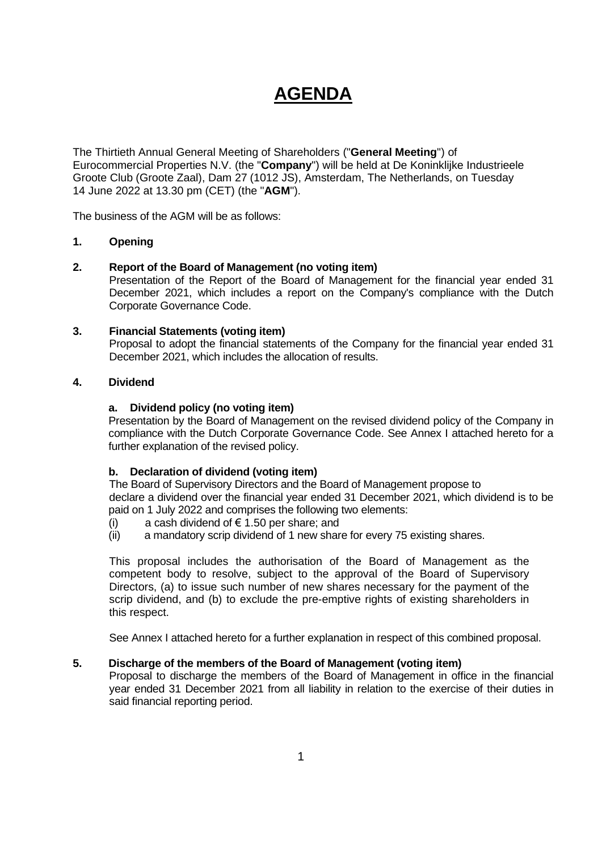# **AGENDA**

The Thirtieth Annual General Meeting of Shareholders ("**General Meeting**") of Eurocommercial Properties N.V. (the "**Company**") will be held at De Koninklijke Industrieele Groote Club (Groote Zaal), Dam 27 (1012 JS), Amsterdam, The Netherlands, on Tuesday 14 June 2022 at 13.30 pm (CET) (the "**AGM**").

The business of the AGM will be as follows:

# **1. Opening**

# **2. Report of the Board of Management (no voting item)**

Presentation of the Report of the Board of Management for the financial year ended 31 December 2021, which includes a report on the Company's compliance with the Dutch Corporate Governance Code.

# **3. Financial Statements (voting item)**

Proposal to adopt the financial statements of the Company for the financial year ended 31 December 2021, which includes the allocation of results.

# **4. Dividend**

# **a. Dividend policy (no voting item)**

Presentation by the Board of Management on the revised dividend policy of the Company in compliance with the Dutch Corporate Governance Code. See Annex I attached hereto for a further explanation of the revised policy.

# **b. Declaration of dividend (voting item)**

The Board of Supervisory Directors and the Board of Management propose to declare a dividend over the financial year ended 31 December 2021, which dividend is to be paid on 1 July 2022 and comprises the following two elements:

- (i) a cash dividend of  $\epsilon$  1.50 per share; and
- (ii) a mandatory scrip dividend of 1 new share for every 75 existing shares.

This proposal includes the authorisation of the Board of Management as the competent body to resolve, subject to the approval of the Board of Supervisory Directors, (a) to issue such number of new shares necessary for the payment of the scrip dividend, and (b) to exclude the pre-emptive rights of existing shareholders in this respect.

See Annex I attached hereto for a further explanation in respect of this combined proposal.

# **5. Discharge of the members of the Board of Management (voting item)**

Proposal to discharge the members of the Board of Management in office in the financial year ended 31 December 2021 from all liability in relation to the exercise of their duties in said financial reporting period.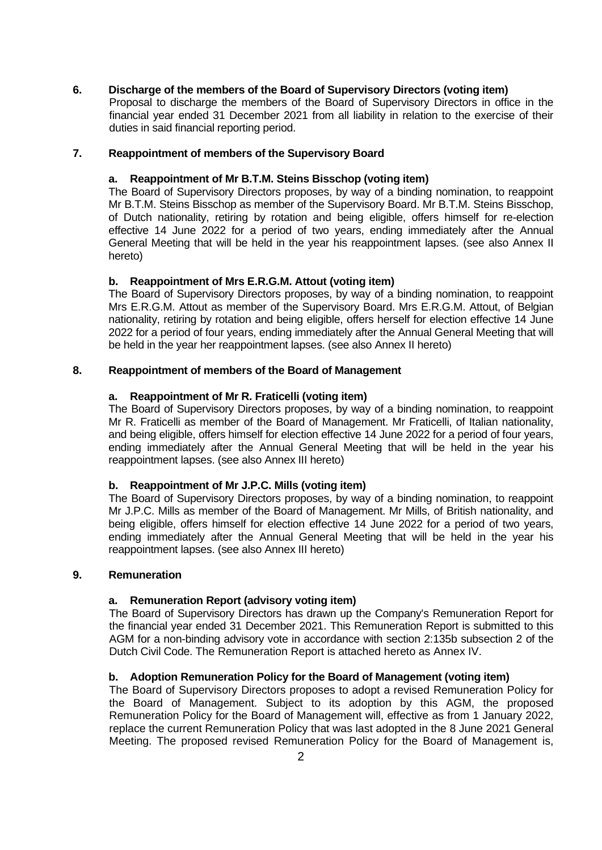# **6. Discharge of the members of the Board of Supervisory Directors (voting item)**

Proposal to discharge the members of the Board of Supervisory Directors in office in the financial year ended 31 December 2021 from all liability in relation to the exercise of their duties in said financial reporting period.

# **7. Reappointment of members of the Supervisory Board**

# **a. Reappointment of Mr B.T.M. Steins Bisschop (voting item)**

The Board of Supervisory Directors proposes, by way of a binding nomination, to reappoint Mr B.T.M. Steins Bisschop as member of the Supervisory Board. Mr B.T.M. Steins Bisschop, of Dutch nationality, retiring by rotation and being eligible, offers himself for re-election effective 14 June 2022 for a period of two years, ending immediately after the Annual General Meeting that will be held in the year his reappointment lapses. (see also Annex II hereto)

# **b. Reappointment of Mrs E.R.G.M. Attout (voting item)**

The Board of Supervisory Directors proposes, by way of a binding nomination, to reappoint Mrs E.R.G.M. Attout as member of the Supervisory Board. Mrs E.R.G.M. Attout, of Belgian nationality, retiring by rotation and being eligible, offers herself for election effective 14 June 2022 for a period of four years, ending immediately after the Annual General Meeting that will be held in the year her reappointment lapses. (see also Annex II hereto)

# **8. Reappointment of members of the Board of Management**

# **a. Reappointment of Mr R. Fraticelli (voting item)**

The Board of Supervisory Directors proposes, by way of a binding nomination, to reappoint Mr R. Fraticelli as member of the Board of Management. Mr Fraticelli, of Italian nationality, and being eligible, offers himself for election effective 14 June 2022 for a period of four years, ending immediately after the Annual General Meeting that will be held in the year his reappointment lapses. (see also Annex III hereto)

#### **b. Reappointment of Mr J.P.C. Mills (voting item)**

The Board of Supervisory Directors proposes, by way of a binding nomination, to reappoint Mr J.P.C. Mills as member of the Board of Management. Mr Mills, of British nationality, and being eligible, offers himself for election effective 14 June 2022 for a period of two years, ending immediately after the Annual General Meeting that will be held in the year his reappointment lapses. (see also Annex III hereto)

#### **9. Remuneration**

# **a. Remuneration Report (advisory voting item)**

The Board of Supervisory Directors has drawn up the Company's Remuneration Report for the financial year ended 31 December 2021. This Remuneration Report is submitted to this AGM for a non-binding advisory vote in accordance with section 2:135b subsection 2 of the Dutch Civil Code. The Remuneration Report is attached hereto as Annex IV.

#### **b. Adoption Remuneration Policy for the Board of Management (voting item)**

The Board of Supervisory Directors proposes to adopt a revised Remuneration Policy for the Board of Management. Subject to its adoption by this AGM, the proposed Remuneration Policy for the Board of Management will, effective as from 1 January 2022, replace the current Remuneration Policy that was last adopted in the 8 June 2021 General Meeting. The proposed revised Remuneration Policy for the Board of Management is,